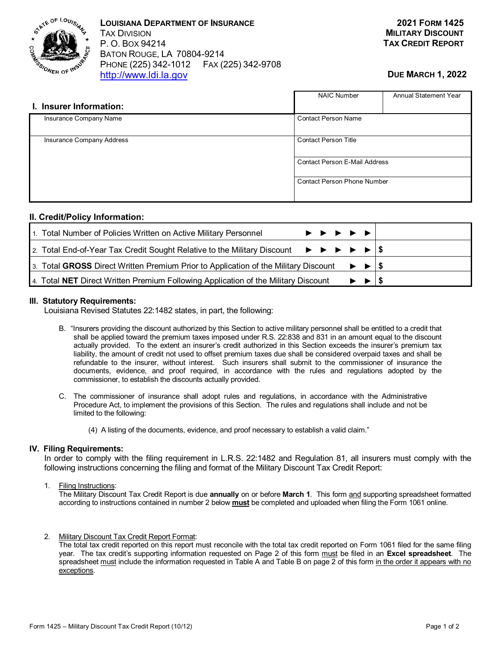

**LOUISIANA DEPARTMENT OF INSURANCE** TAX DIVISION P. O. BOX 94214 BATON ROUGE, LA 70804-9214 PHONE (225) 342-1012 FAX (225) 342-9708 [http://www.ldi.la.gov](http://www.ldi.la.gov/)

# **DUE MARCH 1, 2022**

|                           | <b>NAIC Number</b>                                                         | Annual Statement Year |  |  |  |
|---------------------------|----------------------------------------------------------------------------|-----------------------|--|--|--|
| I. Insurer Information:   |                                                                            |                       |  |  |  |
| Insurance Company Name    | <b>Contact Person Name</b>                                                 |                       |  |  |  |
| Insurance Company Address | <b>Contact Person Title</b>                                                |                       |  |  |  |
|                           | <b>Contact Person E-Mail Address</b><br><b>Contact Person Phone Number</b> |                       |  |  |  |
|                           |                                                                            |                       |  |  |  |

### **II. Credit/Policy Information:**

| 1. Total Number of Policies Written on Active Military Personnel                                                                                           |  | $\blacktriangleright\hspace{-.25em}\rightarrow\hspace{-.25em}\blacktriangleright\hspace{-.25em}\blacktriangleright\hspace{-.25em}\blacktriangleright\hspace{-.25em}\blacktriangleright\hspace{-.25em}\blacktriangleright\hspace{-.25em}\blacktriangleright\hspace{-.25em}\blacktriangleright\hspace{-.25em}\blacktriangleright\hspace{-.25em}\blacktriangleright\hspace{-.25em}\blacktriangleright\hspace{-.25em}\blacktriangleright\hspace{-.25em}\blacktriangleright\hspace{-.25em}\blacktriangleright\hspace{-.25em}\blacktriangleright\hspace{-.25em}\blacktriangleright\hspace{-.25em}\black$ |                                                                      |  |
|------------------------------------------------------------------------------------------------------------------------------------------------------------|--|----------------------------------------------------------------------------------------------------------------------------------------------------------------------------------------------------------------------------------------------------------------------------------------------------------------------------------------------------------------------------------------------------------------------------------------------------------------------------------------------------------------------------------------------------------------------------------------------------|----------------------------------------------------------------------|--|
| 2. Total End-of-Year Tax Credit Sought Relative to the Military Discount $\blacktriangleright \blacktriangleright \blacktriangleright \blacktriangleright$ |  |                                                                                                                                                                                                                                                                                                                                                                                                                                                                                                                                                                                                    |                                                                      |  |
| 3. Total GROSS Direct Written Premium Prior to Application of the Military Discount                                                                        |  |                                                                                                                                                                                                                                                                                                                                                                                                                                                                                                                                                                                                    | $\blacktriangleright$ $\blacktriangleright$ $\vert \mathsf{S} \vert$ |  |
| 4. Total NET Direct Written Premium Following Application of the Military Discount                                                                         |  |                                                                                                                                                                                                                                                                                                                                                                                                                                                                                                                                                                                                    |                                                                      |  |

#### **III. Statutory Requirements:**

Louisiana Revised Statutes 22:1482 states, in part, the following:

- B. "Insurers providing the discount authorized by this Section to active military personnel shall be entitled to a credit that shall be applied toward the premium taxes imposed under R.S. 22:838 and 831 in an amount equal to the discount actually provided. To the extent an insurer's credit authorized in this Section exceeds the insurer's premium tax liability, the amount of credit not used to offset premium taxes due shall be considered overpaid taxes and shall be refundable to the insurer, without interest. Such insurers shall submit to the commissioner of insurance the documents, evidence, and proof required, in accordance with the rules and regulations adopted by the commissioner, to establish the discounts actually provided.
- C. The commissioner of insurance shall adopt rules and regulations, in accordance with the Administrative Procedure Act, to implement the provisions of this Section. The rules and regulations shall include and not be limited to the following:
	- (4) A listing of the documents, evidence, and proof necessary to establish a valid claim."

#### **IV. Filing Requirements:**

In order to comply with the filing requirement in L.R.S. 22:1482 and Regulation 81, all insurers must comply with the following instructions concerning the filing and format of the Military Discount Tax Credit Report:

1. Filing Instructions:

The Military Discount Tax Credit Report is due **annually** on or before **March 1**. This form and supporting spreadsheet formatted according to instructions contained in number 2 below **must** be completed and uploaded when filing the Form 1061 online.

2. Military Discount Tax Credit Report Format:

The total tax credit reported on this report must reconcile with the total tax credit reported on Form 1061 filed for the same filing year. The tax credit's supporting information requested on Page 2 of this form must be filed in an **Excel spreadsheet**. The spreadsheet must include the information requested in Table A and Table B on page 2 of this form in the order it appears with no exceptions.